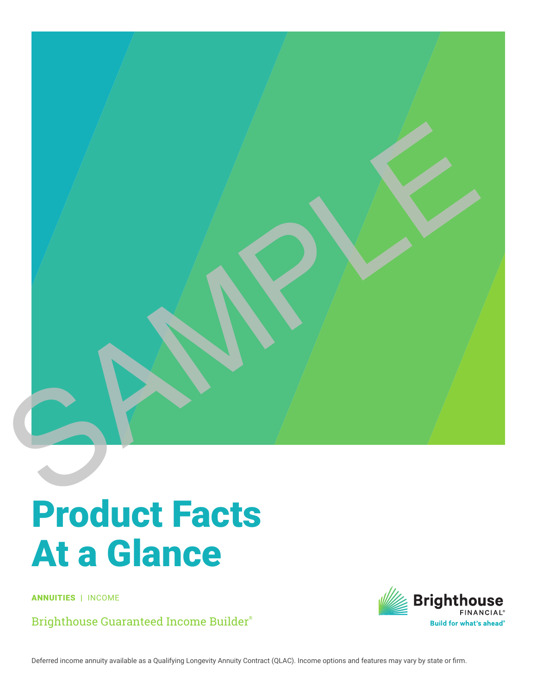

## Product Facts At a Glance

ANNUITIES | INCOME

Brighthouse Guaranteed Income Builder®

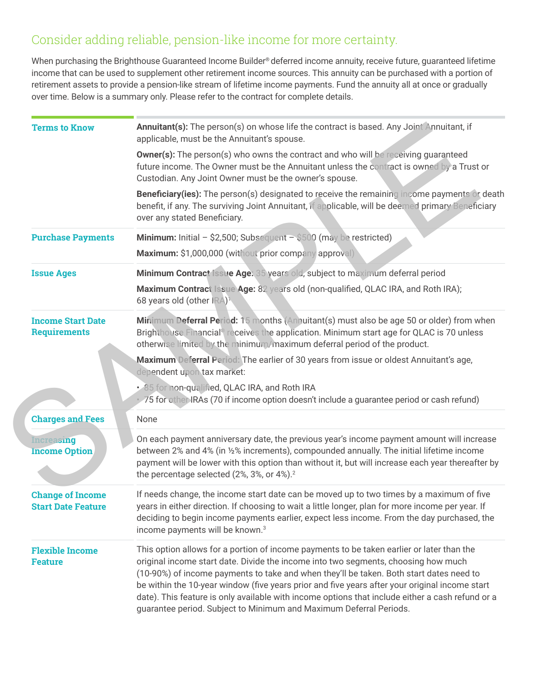## Consider adding reliable, pension-like income for more certainty.

When purchasing the Brighthouse Guaranteed Income Builder® deferred income annuity, receive future, guaranteed lifetime income that can be used to supplement other retirement income sources. This annuity can be purchased with a portion of retirement assets to provide a pension-like stream of lifetime income payments. Fund the annuity all at once or gradually over time. Below is a summary only. Please refer to the contract for complete details.

| <b>Terms to Know</b>                                 | Annuitant(s): The person(s) on whose life the contract is based. Any Joint Annuitant, if<br>applicable, must be the Annuitant's spouse.                                                                                                                                                                                                                                                                                                                                                                                                                |  |  |  |
|------------------------------------------------------|--------------------------------------------------------------------------------------------------------------------------------------------------------------------------------------------------------------------------------------------------------------------------------------------------------------------------------------------------------------------------------------------------------------------------------------------------------------------------------------------------------------------------------------------------------|--|--|--|
|                                                      | <b>Owner(s):</b> The person(s) who owns the contract and who will be receiving guaranteed<br>future income. The Owner must be the Annuitant unless the contract is owned by a Trust or<br>Custodian. Any Joint Owner must be the owner's spouse.                                                                                                                                                                                                                                                                                                       |  |  |  |
|                                                      | <b>Beneficiary (ies):</b> The person(s) designated to receive the remaining income payments or death<br>benefit, if any. The surviving Joint Annuitant, if applicable, will be deemed primary Beneficiary<br>over any stated Beneficiary.                                                                                                                                                                                                                                                                                                              |  |  |  |
| <b>Purchase Payments</b>                             | Minimum: Initial - \$2,500; Subsequent - \$500 (may be restricted)                                                                                                                                                                                                                                                                                                                                                                                                                                                                                     |  |  |  |
|                                                      | Maximum: \$1,000,000 (without prior company approval)                                                                                                                                                                                                                                                                                                                                                                                                                                                                                                  |  |  |  |
| <b>Issue Ages</b>                                    | Minimum Contract Issue Age: 35 years old, subject to maximum deferral period                                                                                                                                                                                                                                                                                                                                                                                                                                                                           |  |  |  |
|                                                      | Maximum Contract Issue Age: 82 years old (non-qualified, QLAC IRA, and Roth IRA);<br>68 years old (other IRA) <sup>1</sup>                                                                                                                                                                                                                                                                                                                                                                                                                             |  |  |  |
| <b>Income Start Date</b><br><b>Requirements</b>      | Minimum Deferral Period: 15 months (Anhuitant(s) must also be age 50 or older) from when<br>Brighthouse Financial <sup>®</sup> receives the application. Minimum start age for QLAC is 70 unless<br>otherwise limited by the minimum/maximum deferral period of the product.                                                                                                                                                                                                                                                                           |  |  |  |
|                                                      | Maximum Deferral Period: The earlier of 30 years from issue or oldest Annuitant's age,<br>dependent upon tax market:                                                                                                                                                                                                                                                                                                                                                                                                                                   |  |  |  |
|                                                      | . 85 for non-qualified, QLAC IRA, and Roth IRA<br>· 75 for other IRAs (70 if income option doesn't include a guarantee period or cash refund)                                                                                                                                                                                                                                                                                                                                                                                                          |  |  |  |
| <b>Charges and Fees</b>                              | None                                                                                                                                                                                                                                                                                                                                                                                                                                                                                                                                                   |  |  |  |
| <b>Increasing</b><br><b>Income Option</b>            | On each payment anniversary date, the previous year's income payment amount will increase<br>between 2% and 4% (in 1/2% increments), compounded annually. The initial lifetime income<br>payment will be lower with this option than without it, but will increase each year thereafter by<br>the percentage selected (2%, 3%, or 4%). <sup>2</sup>                                                                                                                                                                                                    |  |  |  |
| <b>Change of Income</b><br><b>Start Date Feature</b> | If needs change, the income start date can be moved up to two times by a maximum of five<br>years in either direction. If choosing to wait a little longer, plan for more income per year. If<br>deciding to begin income payments earlier, expect less income. From the day purchased, the<br>income payments will be known. <sup>3</sup>                                                                                                                                                                                                             |  |  |  |
| <b>Flexible Income</b><br><b>Feature</b>             | This option allows for a portion of income payments to be taken earlier or later than the<br>original income start date. Divide the income into two segments, choosing how much<br>(10-90%) of income payments to take and when they'll be taken. Both start dates need to<br>be within the 10-year window (five years prior and five years after your original income start<br>date). This feature is only available with income options that include either a cash refund or a<br>guarantee period. Subject to Minimum and Maximum Deferral Periods. |  |  |  |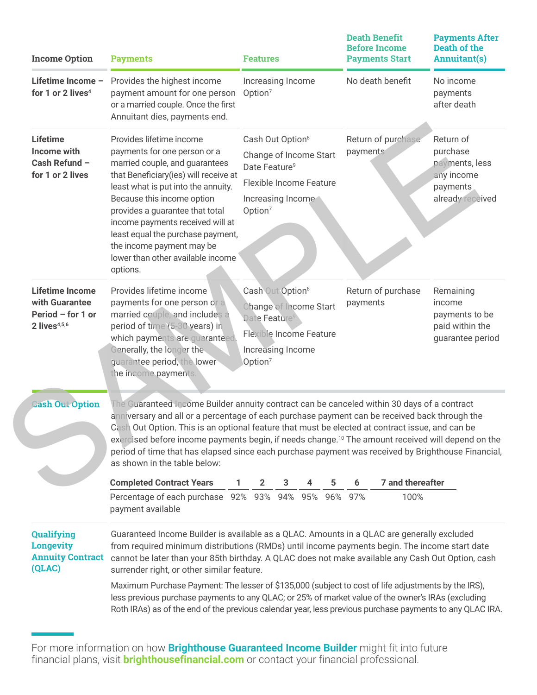| <b>Income Option</b>                                                               | <b>Payments</b>                                                                                                                                                                                                                                                                                                                                                                                                                                                                                                                                        | <b>Features</b>                                                                                                                                                   | <b>Death Benefit</b><br><b>Before Income</b><br><b>Payments Start</b> | <b>Payments After</b><br>Death of the<br><b>Annuitant(s)</b>                          |  |  |
|------------------------------------------------------------------------------------|--------------------------------------------------------------------------------------------------------------------------------------------------------------------------------------------------------------------------------------------------------------------------------------------------------------------------------------------------------------------------------------------------------------------------------------------------------------------------------------------------------------------------------------------------------|-------------------------------------------------------------------------------------------------------------------------------------------------------------------|-----------------------------------------------------------------------|---------------------------------------------------------------------------------------|--|--|
| Lifetime Income -<br>for 1 or 2 lives <sup>4</sup>                                 | Provides the highest income<br>payment amount for one person<br>or a married couple. Once the first<br>Annuitant dies, payments end.                                                                                                                                                                                                                                                                                                                                                                                                                   | Increasing Income<br>Option <sup>7</sup>                                                                                                                          | No death benefit                                                      | No income<br>payments<br>after death                                                  |  |  |
| <b>Lifetime</b><br>Income with<br>Cash Refund -<br>for 1 or 2 lives                | Provides lifetime income<br>payments for one person or a<br>married couple, and guarantees<br>that Beneficiary(ies) will receive at<br>least what is put into the annuity.<br>Because this income option<br>provides a guarantee that total<br>income payments received will at<br>least equal the purchase payment,<br>the income payment may be<br>lower than other available income<br>options.                                                                                                                                                     | Cash Out Option <sup>8</sup><br>Change of Income Start<br>Date Feature <sup>9</sup><br><b>Flexible Income Feature</b><br>Increasing Income<br>Option <sup>7</sup> | Return of purchase<br>payments                                        | Return of<br>purchase<br>payments, less<br>any income<br>payments<br>already received |  |  |
| <b>Lifetime Income</b><br>with Guarantee<br>Period - for 1 or<br>$2$ lives $4,5,6$ | Provides lifetime income<br>payments for one person or a<br>married couple, and includes a<br>period of time (5-30 years) in<br>which payments are guaranteed<br>Generally, the longer the<br>guarantee period, the lower<br>the income payments.                                                                                                                                                                                                                                                                                                      | Cash Out Option <sup>8</sup><br>Change of Income Start<br>Date Feature <sup>9</sup><br><b>Flexible Income Feature</b><br>Increasing Income<br>Option <sup>7</sup> | Return of purchase<br>payments                                        | Remaining<br>income<br>payments to be<br>paid within the<br>guarantee period          |  |  |
| <b>Cash Out Option</b>                                                             | The Guaranteed Income Builder annuity contract can be canceled within 30 days of a contract<br>anniversary and all or a percentage of each purchase payment can be received back through the<br>Cash Out Option. This is an optional feature that must be elected at contract issue, and can be<br>exercised before income payments begin, if needs change. <sup>10</sup> The amount received will depend on the<br>period of time that has elapsed since each purchase payment was received by Brighthouse Financial,<br>as shown in the table below: |                                                                                                                                                                   |                                                                       |                                                                                       |  |  |
|                                                                                    | <b>Completed Contract Years</b>                                                                                                                                                                                                                                                                                                                                                                                                                                                                                                                        | з<br>2                                                                                                                                                            | 7 and thereafter                                                      |                                                                                       |  |  |
|                                                                                    | Percentage of each purchase 92% 93% 94% 95% 96% 97%<br>payment available                                                                                                                                                                                                                                                                                                                                                                                                                                                                               |                                                                                                                                                                   | 100%                                                                  |                                                                                       |  |  |
| Qualifying<br><b>Longevity</b><br><b>Annuity Contract</b><br>(QLAC)                | Guaranteed Income Builder is available as a QLAC. Amounts in a QLAC are generally excluded<br>from required minimum distributions (RMDs) until income payments begin. The income start date<br>cannot be later than your 85th birthday. A QLAC does not make available any Cash Out Option, cash<br>surrender right, or other similar feature.                                                                                                                                                                                                         |                                                                                                                                                                   |                                                                       |                                                                                       |  |  |
|                                                                                    | Maximum Purchase Payment: The lesser of \$135,000 (subject to cost of life adjustments by the IRS),<br>less previous purchase payments to any QLAC; or 25% of market value of the owner's IRAs (excluding<br>Roth IRAs) as of the end of the previous calendar year, less previous purchase payments to any QLAC IRA.                                                                                                                                                                                                                                  |                                                                                                                                                                   |                                                                       |                                                                                       |  |  |

For more information on how **Brighthouse Guaranteed Income Builder** might fit into future financial plans, visit **brighthousefinancial.com** or contact your financial professional.